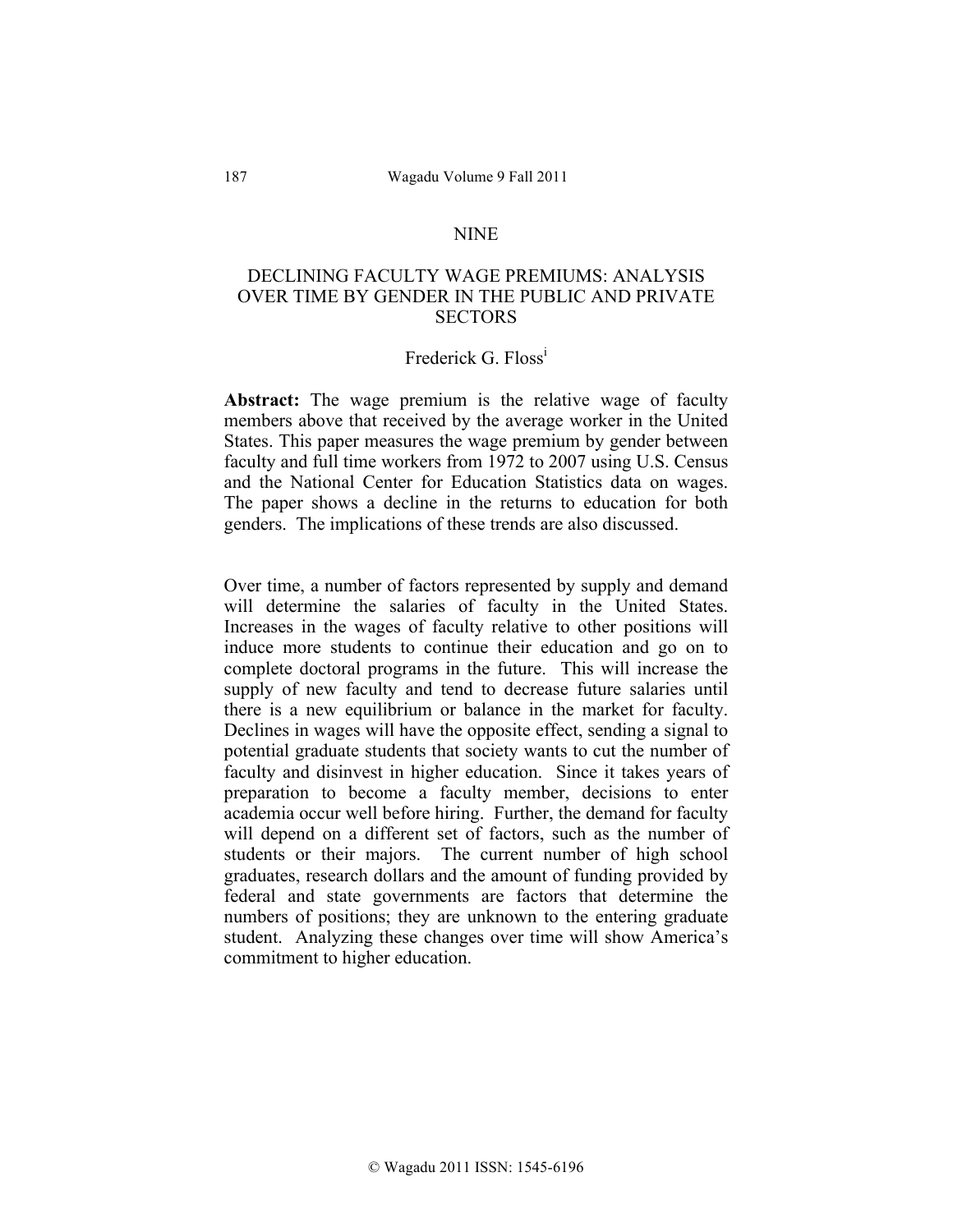## NINE

# DECLINING FACULTY WAGE PREMIUMS: ANALYSIS OVER TIME BY GENDER IN THE PUBLIC AND PRIVATE **SECTORS**

### Frederick G. Floss<sup>1</sup>

**Abstract:** The wage premium is the relative wage of faculty members above that received by the average worker in the United States. This paper measures the wage premium by gender between faculty and full time workers from 1972 to 2007 using U.S. Census and the National Center for Education Statistics data on wages. The paper shows a decline in the returns to education for both genders. The implications of these trends are also discussed.

Over time, a number of factors represented by supply and demand will determine the salaries of faculty in the United States. Increases in the wages of faculty relative to other positions will induce more students to continue their education and go on to complete doctoral programs in the future. This will increase the supply of new faculty and tend to decrease future salaries until there is a new equilibrium or balance in the market for faculty. Declines in wages will have the opposite effect, sending a signal to potential graduate students that society wants to cut the number of faculty and disinvest in higher education. Since it takes years of preparation to become a faculty member, decisions to enter academia occur well before hiring. Further, the demand for faculty will depend on a different set of factors, such as the number of students or their majors. The current number of high school graduates, research dollars and the amount of funding provided by federal and state governments are factors that determine the numbers of positions; they are unknown to the entering graduate student. Analyzing these changes over time will show America's commitment to higher education.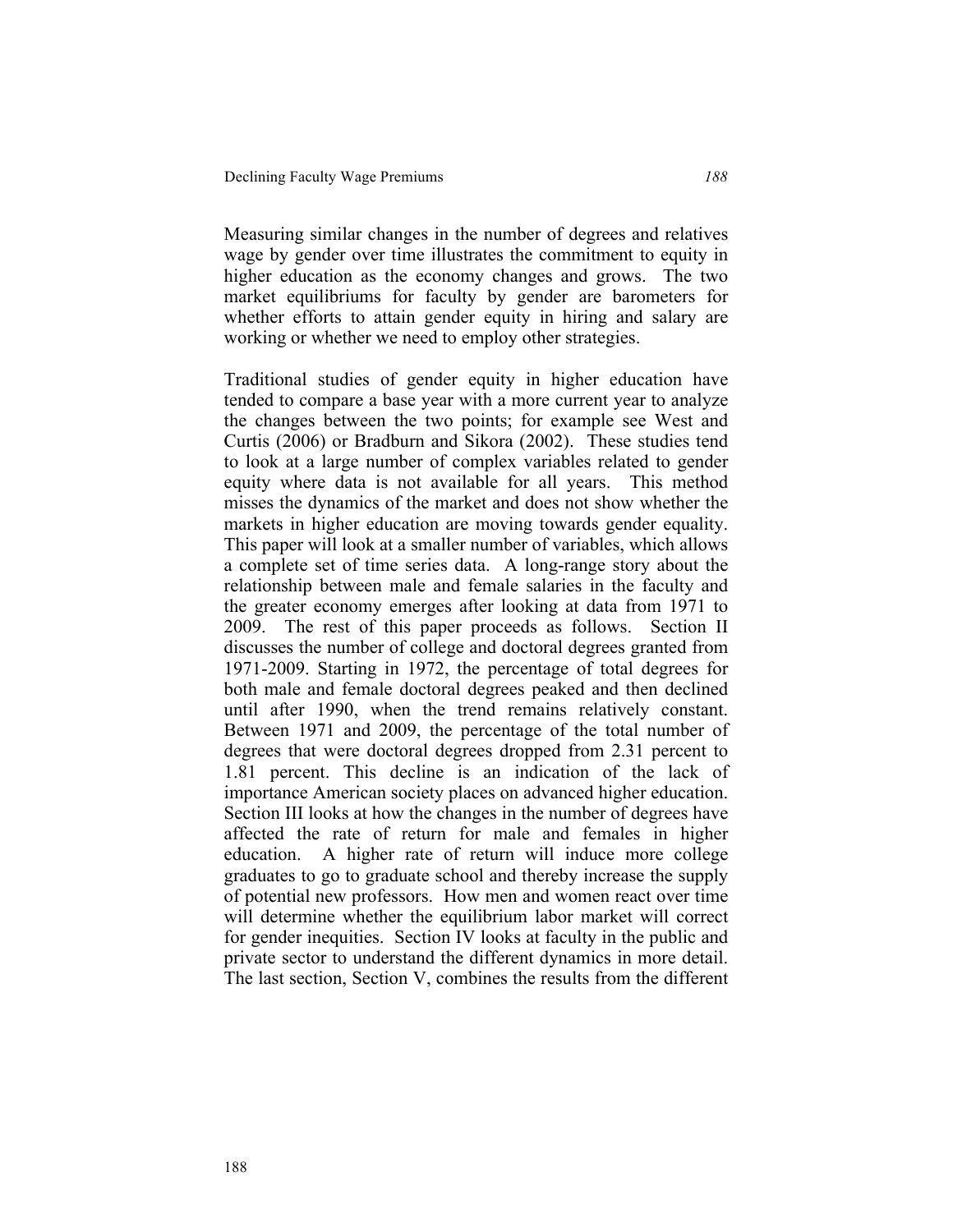Measuring similar changes in the number of degrees and relatives wage by gender over time illustrates the commitment to equity in higher education as the economy changes and grows. The two market equilibriums for faculty by gender are barometers for whether efforts to attain gender equity in hiring and salary are working or whether we need to employ other strategies.

Traditional studies of gender equity in higher education have tended to compare a base year with a more current year to analyze the changes between the two points; for example see West and Curtis (2006) or Bradburn and Sikora (2002). These studies tend to look at a large number of complex variables related to gender equity where data is not available for all years. This method misses the dynamics of the market and does not show whether the markets in higher education are moving towards gender equality. This paper will look at a smaller number of variables, which allows a complete set of time series data. A long-range story about the relationship between male and female salaries in the faculty and the greater economy emerges after looking at data from 1971 to 2009. The rest of this paper proceeds as follows. Section II discusses the number of college and doctoral degrees granted from 1971-2009. Starting in 1972, the percentage of total degrees for both male and female doctoral degrees peaked and then declined until after 1990, when the trend remains relatively constant. Between 1971 and 2009, the percentage of the total number of degrees that were doctoral degrees dropped from 2.31 percent to 1.81 percent. This decline is an indication of the lack of importance American society places on advanced higher education. Section III looks at how the changes in the number of degrees have affected the rate of return for male and females in higher education. A higher rate of return will induce more college graduates to go to graduate school and thereby increase the supply of potential new professors. How men and women react over time will determine whether the equilibrium labor market will correct for gender inequities. Section IV looks at faculty in the public and private sector to understand the different dynamics in more detail. The last section, Section V, combines the results from the different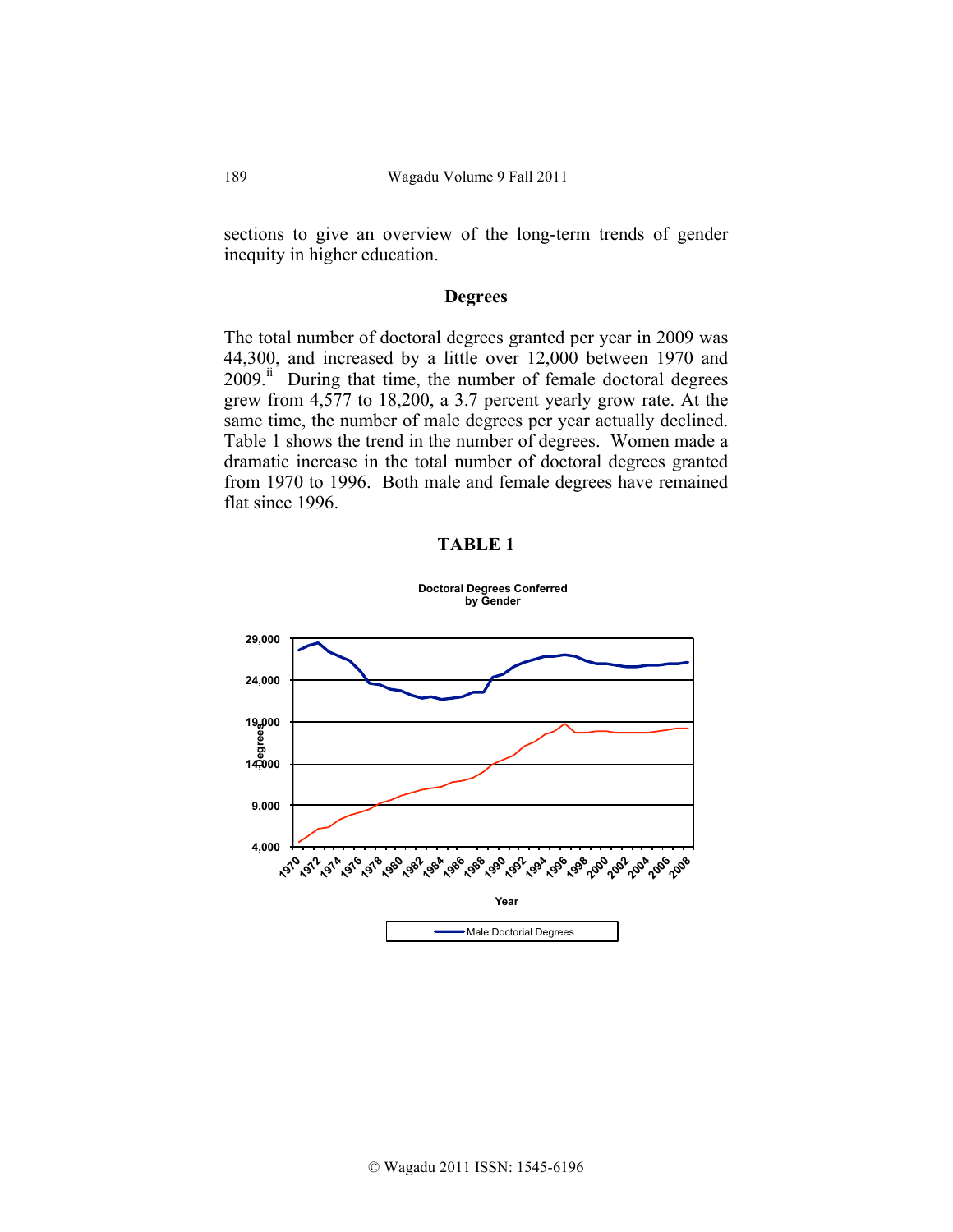sections to give an overview of the long-term trends of gender inequity in higher education.

### **Degrees**

The total number of doctoral degrees granted per year in 2009 was 44,300, and increased by a little over 12,000 between 1970 and 2009.<sup>ii</sup> During that time, the number of female doctoral degrees grew from 4,577 to 18,200, a 3.7 percent yearly grow rate. At the same time, the number of male degrees per year actually declined. Table 1 shows the trend in the number of degrees. Women made a dramatic increase in the total number of doctoral degrees granted from 1970 to 1996. Both male and female degrees have remained flat since 1996.

### **TABLE 1**

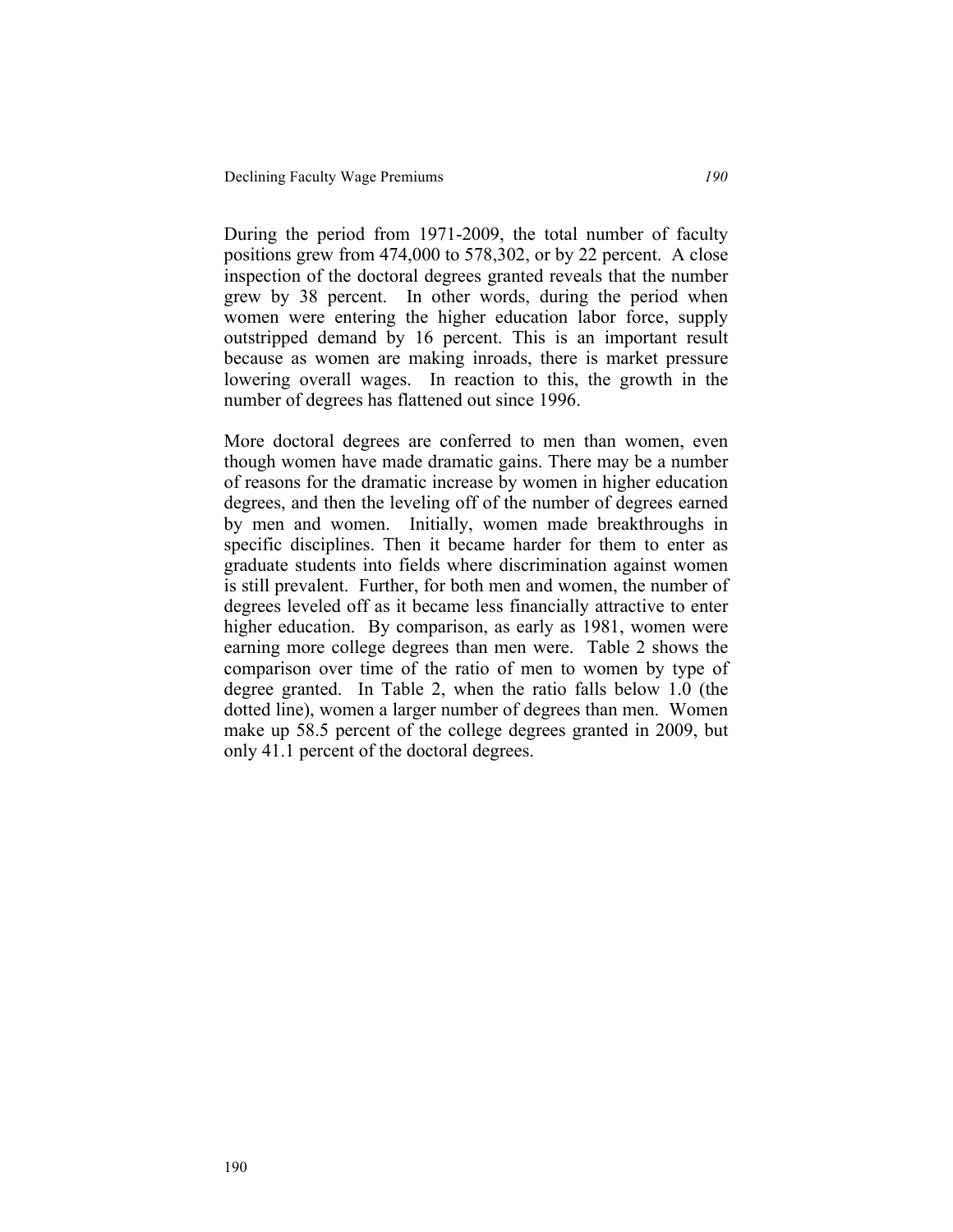During the period from 1971-2009, the total number of faculty positions grew from 474,000 to 578,302, or by 22 percent. A close inspection of the doctoral degrees granted reveals that the number grew by 38 percent. In other words, during the period when women were entering the higher education labor force, supply outstripped demand by 16 percent. This is an important result because as women are making inroads, there is market pressure lowering overall wages. In reaction to this, the growth in the number of degrees has flattened out since 1996.

More doctoral degrees are conferred to men than women, even though women have made dramatic gains. There may be a number of reasons for the dramatic increase by women in higher education degrees, and then the leveling off of the number of degrees earned by men and women. Initially, women made breakthroughs in specific disciplines. Then it became harder for them to enter as graduate students into fields where discrimination against women is still prevalent. Further, for both men and women, the number of degrees leveled off as it became less financially attractive to enter higher education. By comparison, as early as 1981, women were earning more college degrees than men were. Table 2 shows the comparison over time of the ratio of men to women by type of degree granted. In Table 2, when the ratio falls below 1.0 (the dotted line), women a larger number of degrees than men. Women make up 58.5 percent of the college degrees granted in 2009, but only 41.1 percent of the doctoral degrees.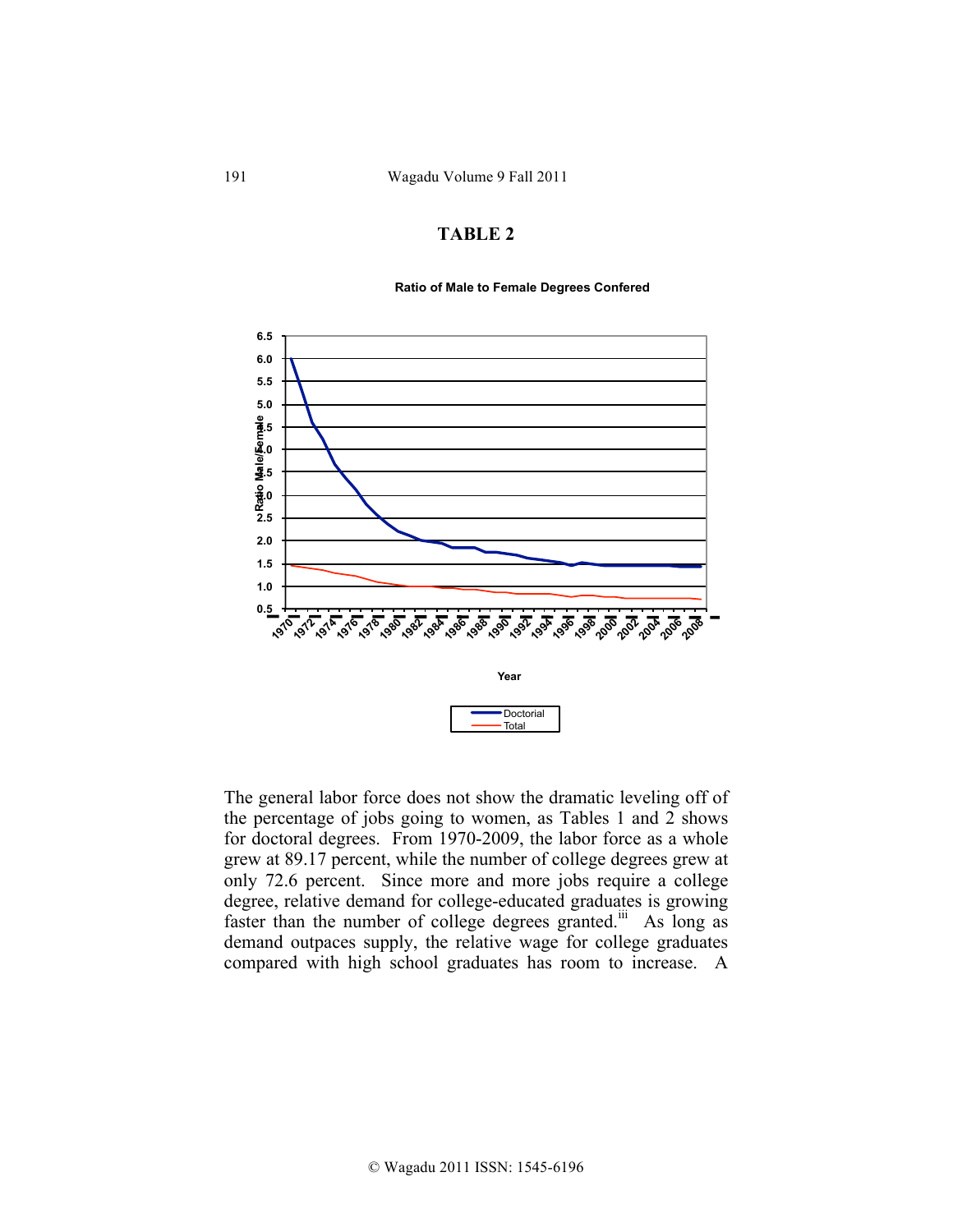#### **Ratio of Male to Female Degrees Confered**



The general labor force does not show the dramatic leveling off of the percentage of jobs going to women, as Tables 1 and 2 shows for doctoral degrees. From 1970-2009, the labor force as a whole grew at 89.17 percent, while the number of college degrees grew at only 72.6 percent. Since more and more jobs require a college degree, relative demand for college-educated graduates is growing faster than the number of college degrees granted.<sup>iii</sup> As long as demand outpaces supply, the relative wage for college graduates compared with high school graduates has room to increase. A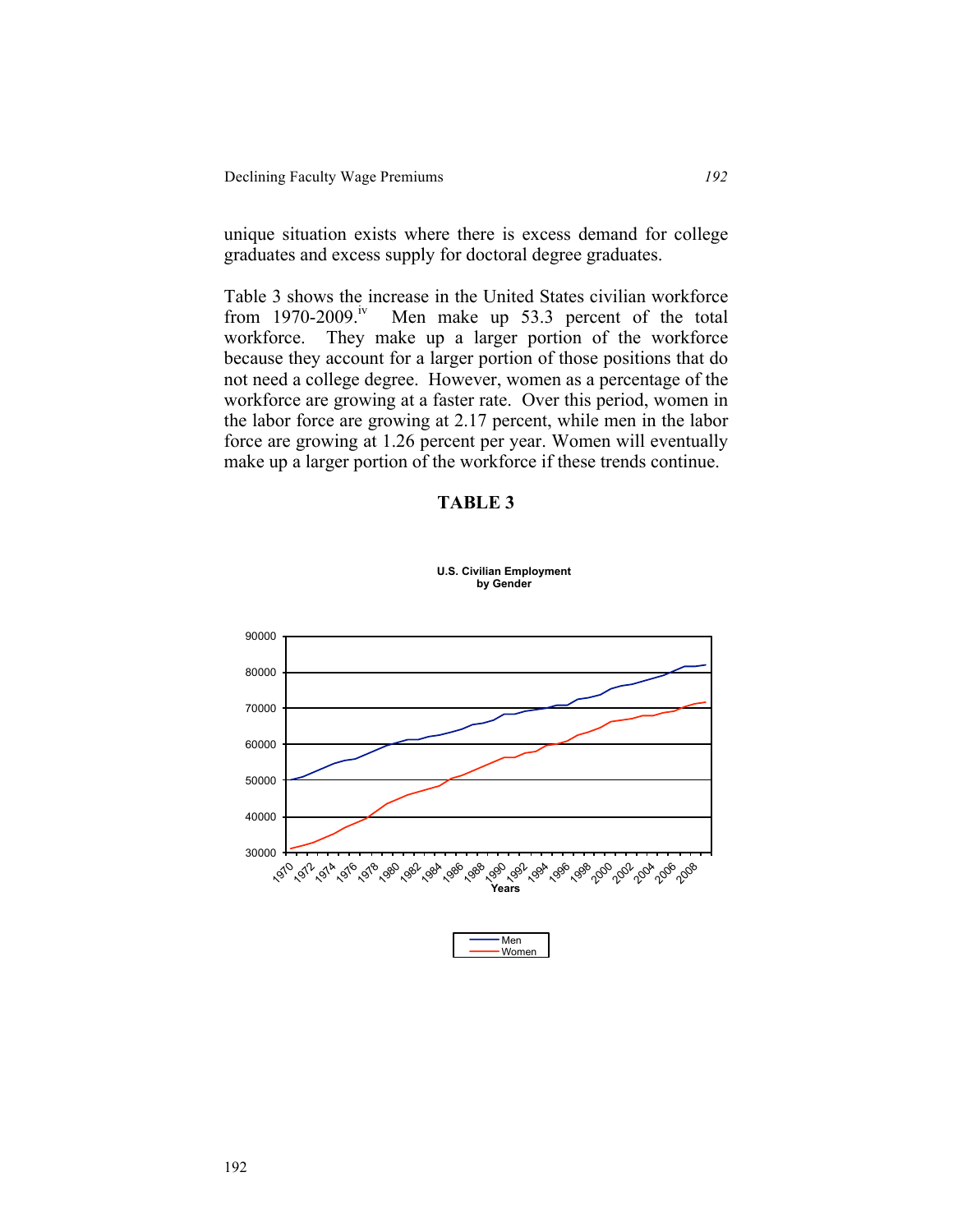unique situation exists where there is excess demand for college graduates and excess supply for doctoral degree graduates.

Table 3 shows the increase in the United States civilian workforce from  $1970-2009$ .<sup>iv</sup> Men make up 53.3 percent of the total Men make up 53.3 percent of the total workforce. They make up a larger portion of the workforce because they account for a larger portion of those positions that do not need a college degree. However, women as a percentage of the workforce are growing at a faster rate. Over this period, women in the labor force are growing at 2.17 percent, while men in the labor force are growing at 1.26 percent per year. Women will eventually make up a larger portion of the workforce if these trends continue.

### **TABLE 3**



**U.S. Civilian Employment by Gender** 

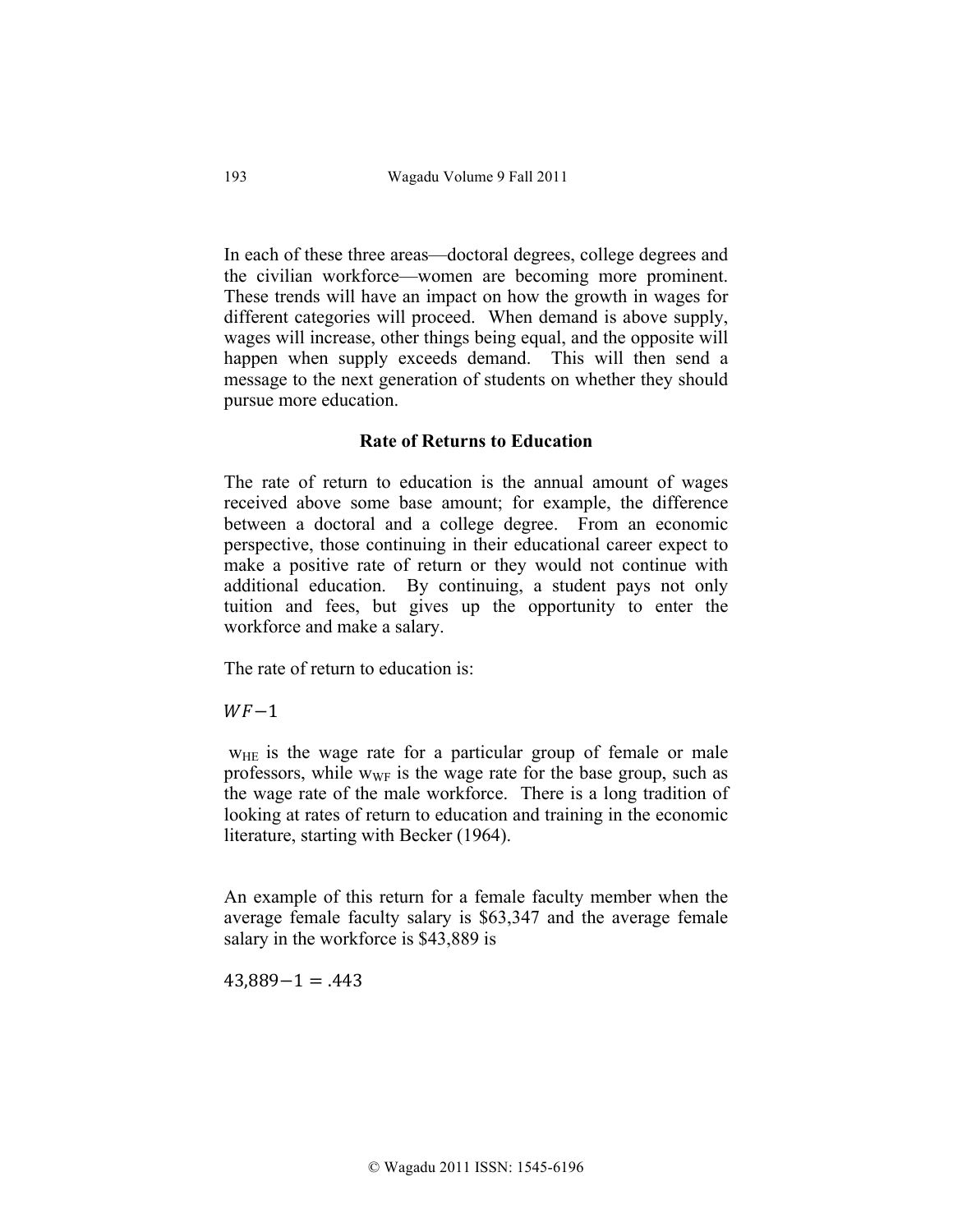In each of these three areas—doctoral degrees, college degrees and the civilian workforce—women are becoming more prominent. These trends will have an impact on how the growth in wages for different categories will proceed. When demand is above supply, wages will increase, other things being equal, and the opposite will happen when supply exceeds demand. This will then send a message to the next generation of students on whether they should pursue more education.

## **Rate of Returns to Education**

The rate of return to education is the annual amount of wages received above some base amount; for example, the difference between a doctoral and a college degree. From an economic perspective, those continuing in their educational career expect to make a positive rate of return or they would not continue with additional education. By continuing, a student pays not only tuition and fees, but gives up the opportunity to enter the workforce and make a salary.

The rate of return to education is:

 $WF-1$ 

W<sub>HE</sub> is the wage rate for a particular group of female or male professors, while  $w_{WF}$  is the wage rate for the base group, such as the wage rate of the male workforce. There is a long tradition of looking at rates of return to education and training in the economic literature, starting with Becker (1964).

An example of this return for a female faculty member when the average female faculty salary is \$63,347 and the average female salary in the workforce is \$43,889 is

 $43,889-1 = .443$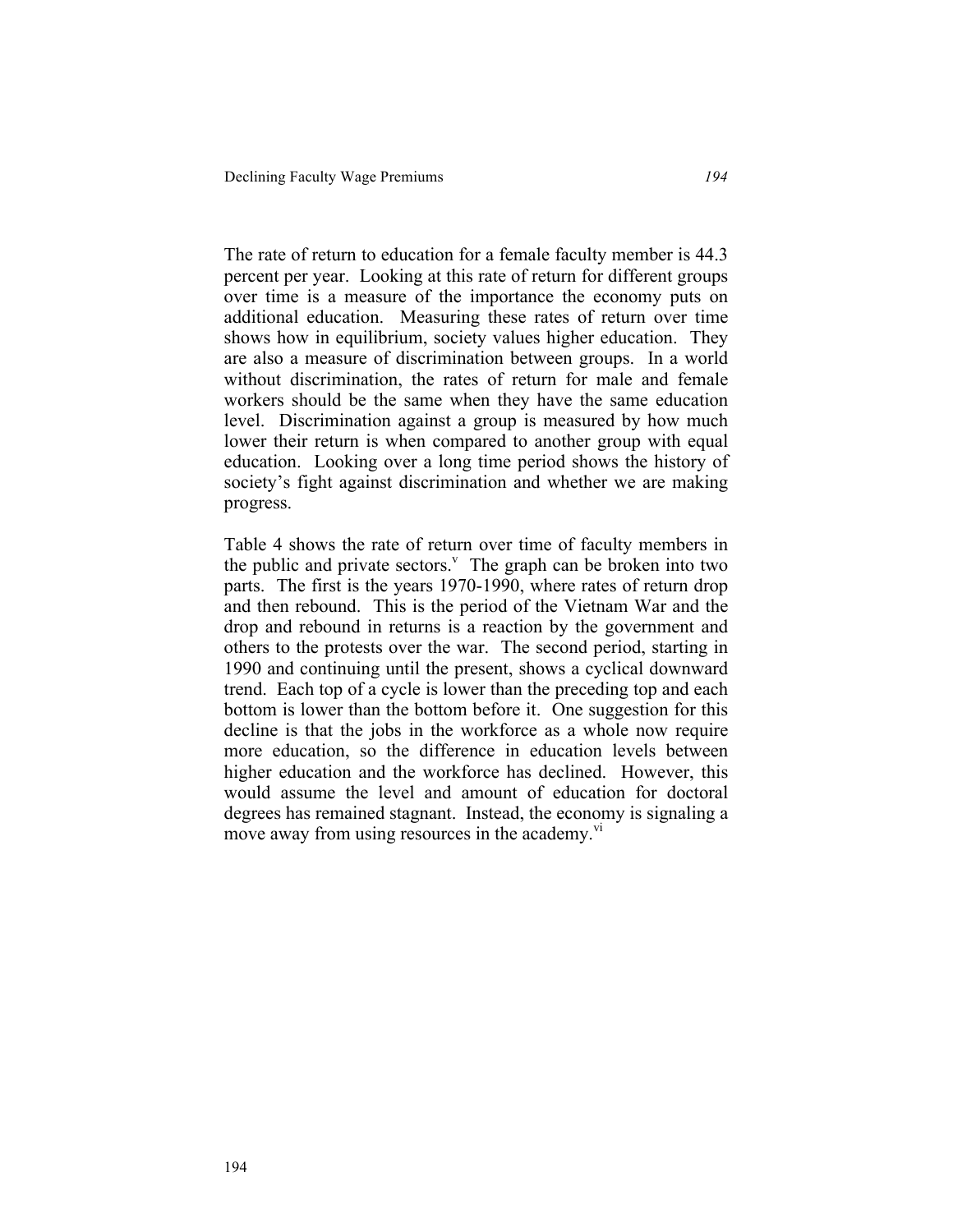The rate of return to education for a female faculty member is 44.3 percent per year. Looking at this rate of return for different groups over time is a measure of the importance the economy puts on additional education. Measuring these rates of return over time shows how in equilibrium, society values higher education. They are also a measure of discrimination between groups. In a world without discrimination, the rates of return for male and female workers should be the same when they have the same education level. Discrimination against a group is measured by how much lower their return is when compared to another group with equal education. Looking over a long time period shows the history of society's fight against discrimination and whether we are making progress.

Table 4 shows the rate of return over time of faculty members in the public and private sectors. $\theta$  The graph can be broken into two parts. The first is the years 1970-1990, where rates of return drop and then rebound. This is the period of the Vietnam War and the drop and rebound in returns is a reaction by the government and others to the protests over the war. The second period, starting in 1990 and continuing until the present, shows a cyclical downward trend. Each top of a cycle is lower than the preceding top and each bottom is lower than the bottom before it. One suggestion for this decline is that the jobs in the workforce as a whole now require more education, so the difference in education levels between higher education and the workforce has declined. However, this would assume the level and amount of education for doctoral degrees has remained stagnant. Instead, the economy is signaling a move away from using resources in the academy.<sup>vi</sup>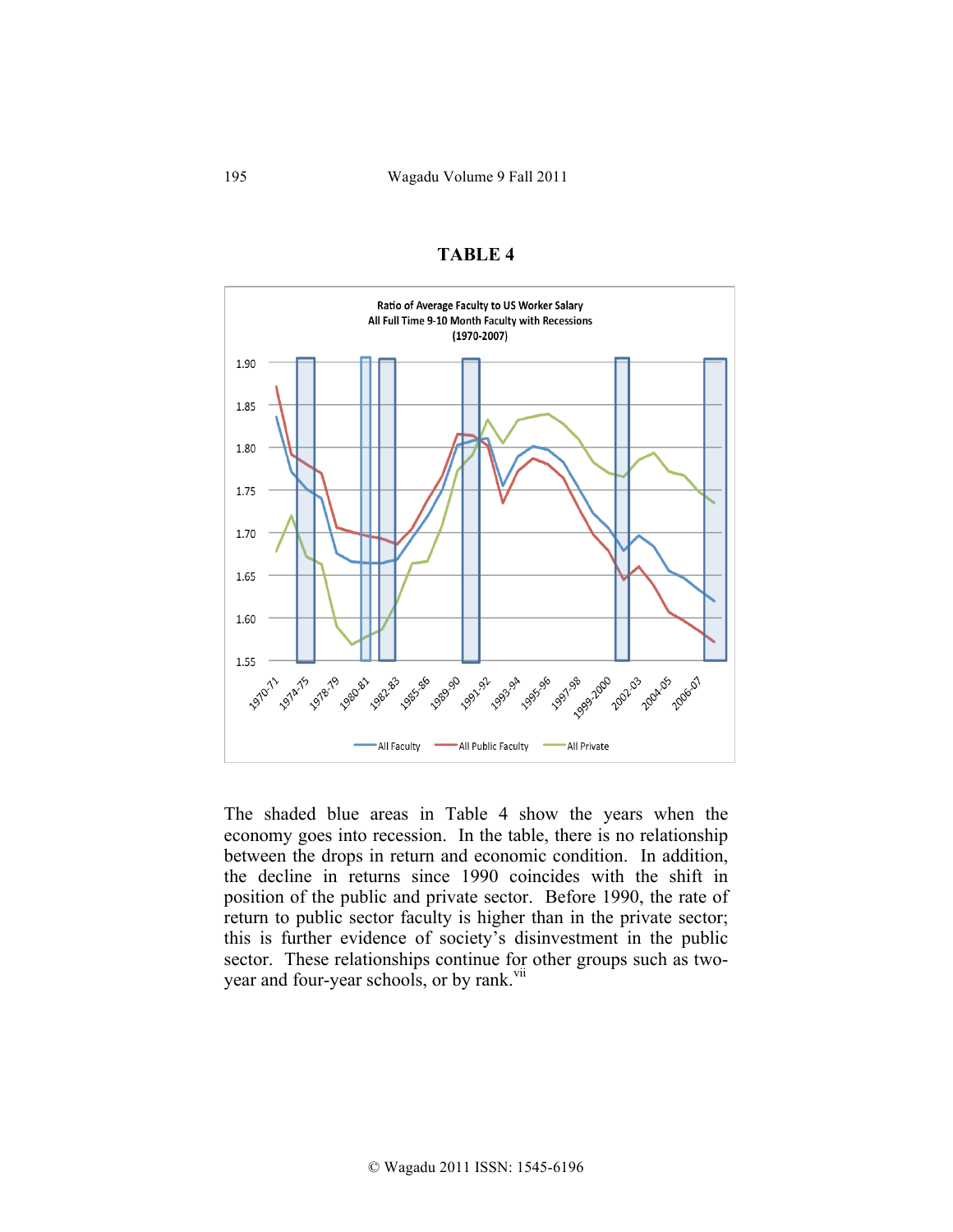

The shaded blue areas in Table 4 show the years when the economy goes into recession. In the table, there is no relationship between the drops in return and economic condition. In addition, the decline in returns since 1990 coincides with the shift in position of the public and private sector. Before 1990, the rate of return to public sector faculty is higher than in the private sector; this is further evidence of society's disinvestment in the public sector. These relationships continue for other groups such as twoyear and four-year schools, or by rank.<sup>vii</sup>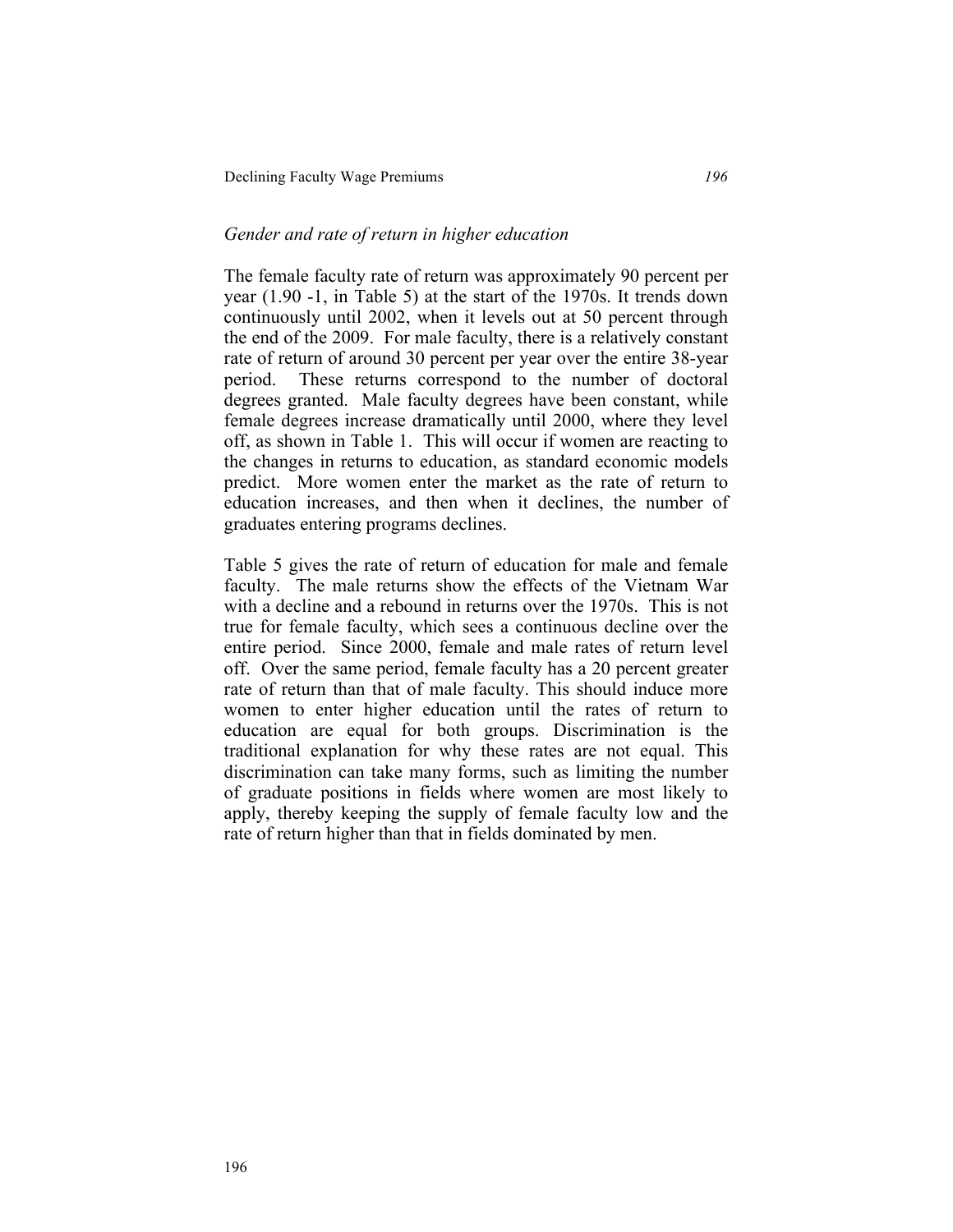### *Gender and rate of return in higher education*

The female faculty rate of return was approximately 90 percent per year (1.90 -1, in Table 5) at the start of the 1970s. It trends down continuously until 2002, when it levels out at 50 percent through the end of the 2009. For male faculty, there is a relatively constant rate of return of around 30 percent per year over the entire 38-year period. These returns correspond to the number of doctoral degrees granted. Male faculty degrees have been constant, while female degrees increase dramatically until 2000, where they level off, as shown in Table 1. This will occur if women are reacting to the changes in returns to education, as standard economic models predict. More women enter the market as the rate of return to education increases, and then when it declines, the number of graduates entering programs declines.

Table 5 gives the rate of return of education for male and female faculty. The male returns show the effects of the Vietnam War with a decline and a rebound in returns over the 1970s. This is not true for female faculty, which sees a continuous decline over the entire period. Since 2000, female and male rates of return level off. Over the same period, female faculty has a 20 percent greater rate of return than that of male faculty. This should induce more women to enter higher education until the rates of return to education are equal for both groups. Discrimination is the traditional explanation for why these rates are not equal. This discrimination can take many forms, such as limiting the number of graduate positions in fields where women are most likely to apply, thereby keeping the supply of female faculty low and the rate of return higher than that in fields dominated by men.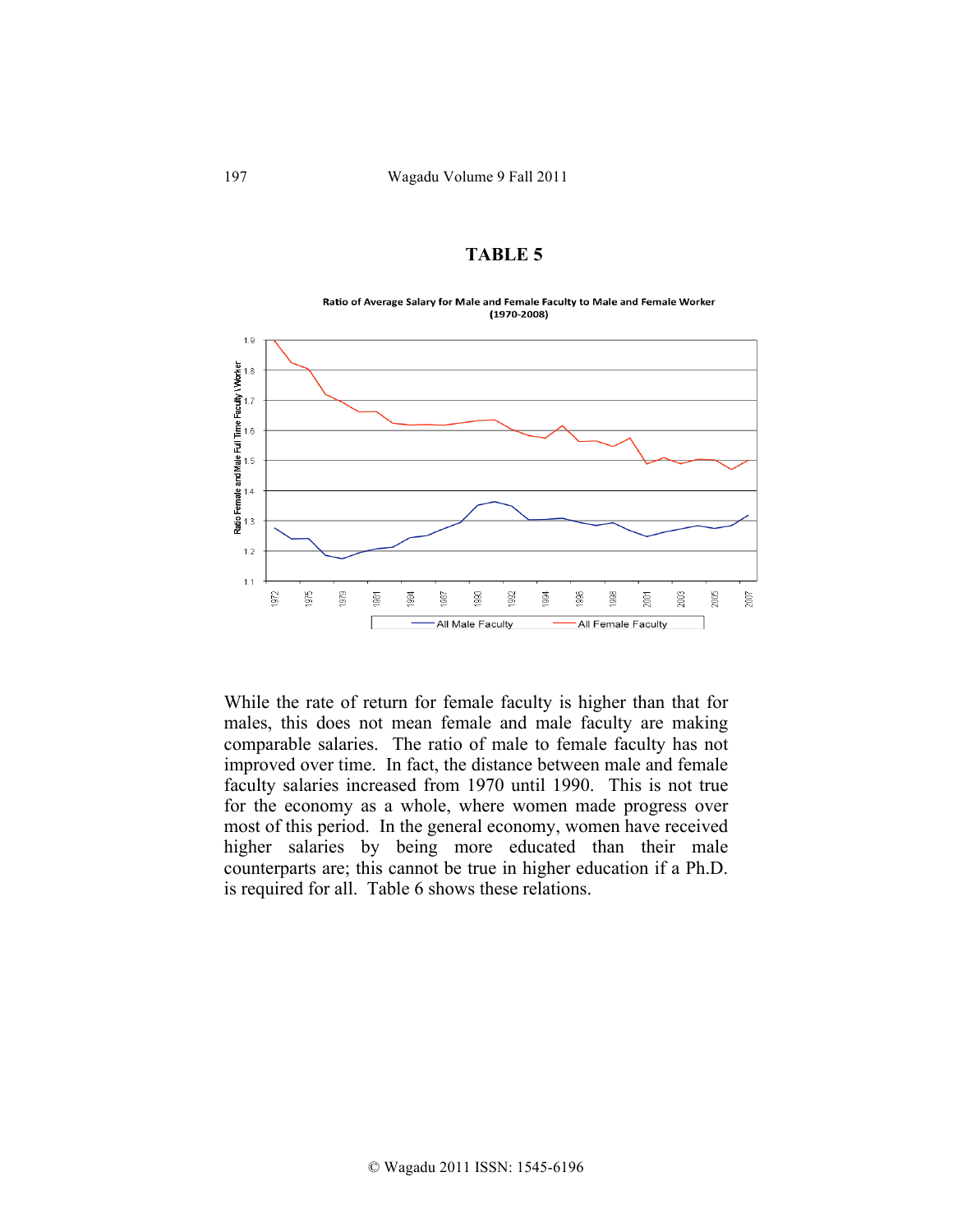Ratio of Average Salary for Male and Female Faculty to Male and Female Worker  $(1970 - 2008)$ 



While the rate of return for female faculty is higher than that for males, this does not mean female and male faculty are making comparable salaries. The ratio of male to female faculty has not improved over time. In fact, the distance between male and female faculty salaries increased from 1970 until 1990. This is not true for the economy as a whole, where women made progress over most of this period. In the general economy, women have received higher salaries by being more educated than their male counterparts are; this cannot be true in higher education if a Ph.D. is required for all. Table 6 shows these relations.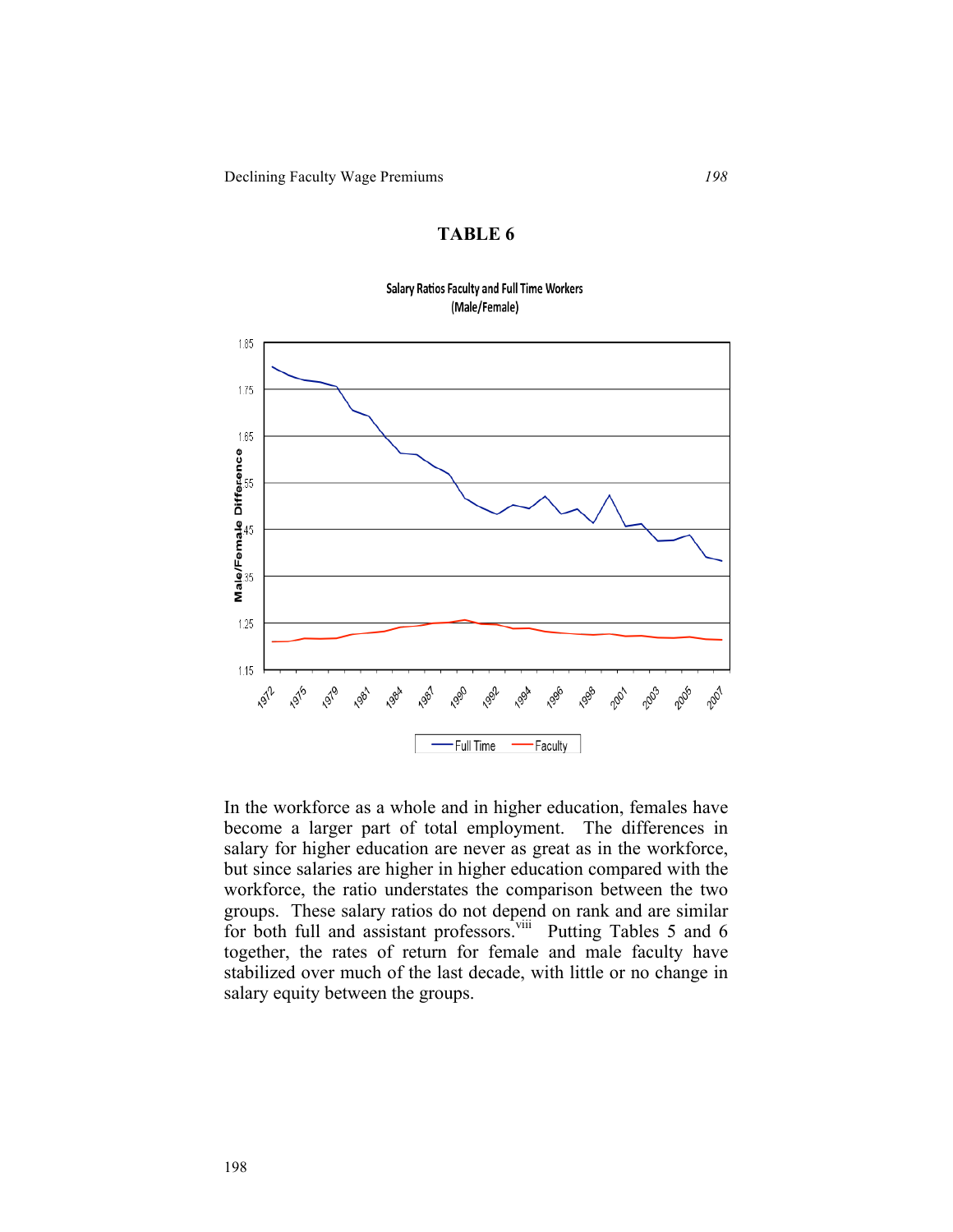#### **Salary Ratios Faculty and Full Time Workers** (Male/Female)



In the workforce as a whole and in higher education, females have become a larger part of total employment. The differences in salary for higher education are never as great as in the workforce, but since salaries are higher in higher education compared with the workforce, the ratio understates the comparison between the two groups. These salary ratios do not depend on rank and are similar for both full and assistant professors.<sup>viii</sup> Putting Tables 5 and 6 together, the rates of return for female and male faculty have stabilized over much of the last decade, with little or no change in salary equity between the groups.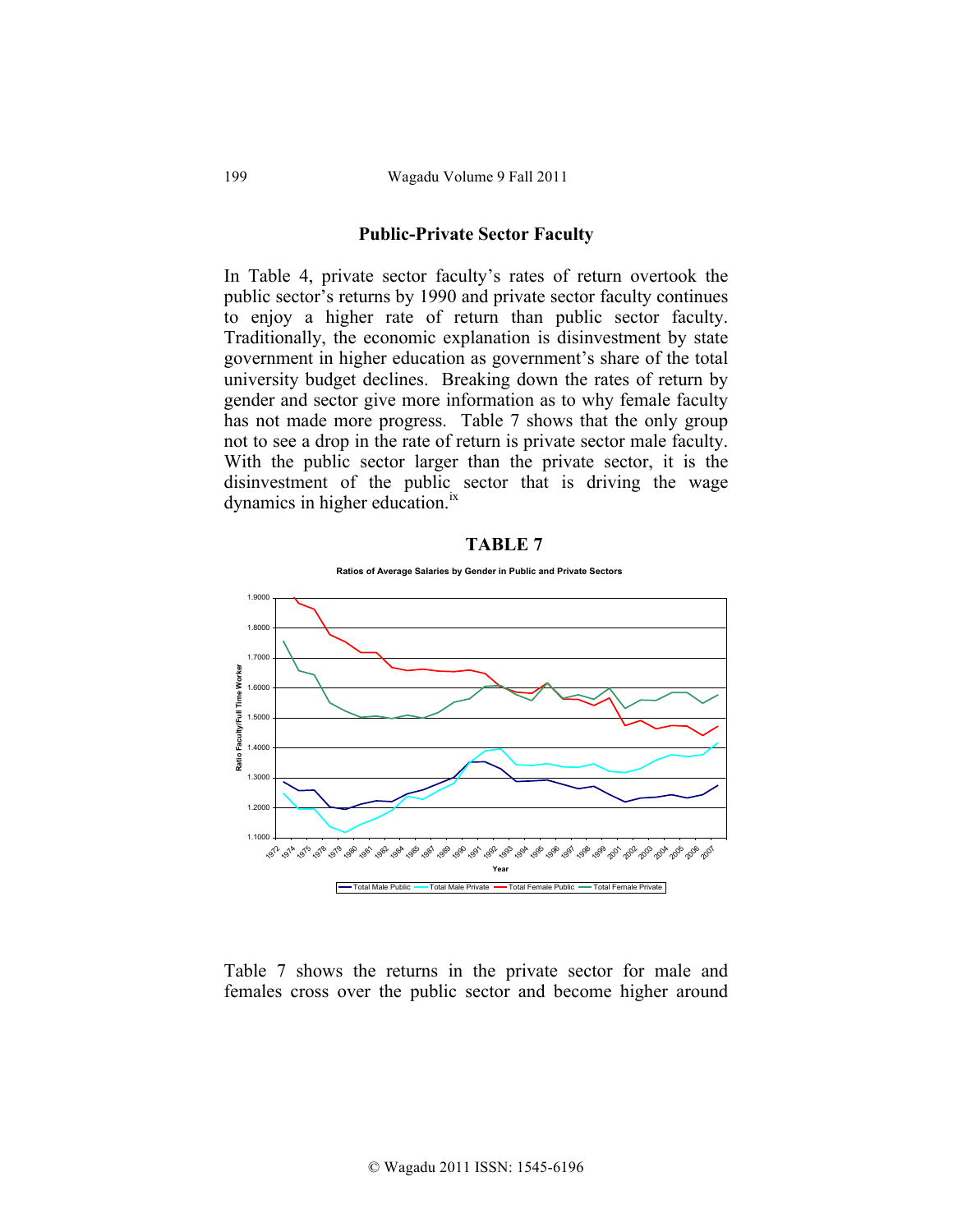### **Public-Private Sector Faculty**

In Table 4, private sector faculty's rates of return overtook the public sector's returns by 1990 and private sector faculty continues to enjoy a higher rate of return than public sector faculty. Traditionally, the economic explanation is disinvestment by state government in higher education as government's share of the total university budget declines. Breaking down the rates of return by gender and sector give more information as to why female faculty has not made more progress. Table 7 shows that the only group not to see a drop in the rate of return is private sector male faculty. With the public sector larger than the private sector, it is the disinvestment of the public sector that is driving the wage dynamics in higher education.<sup>ix</sup>





Table 7 shows the returns in the private sector for male and females cross over the public sector and become higher around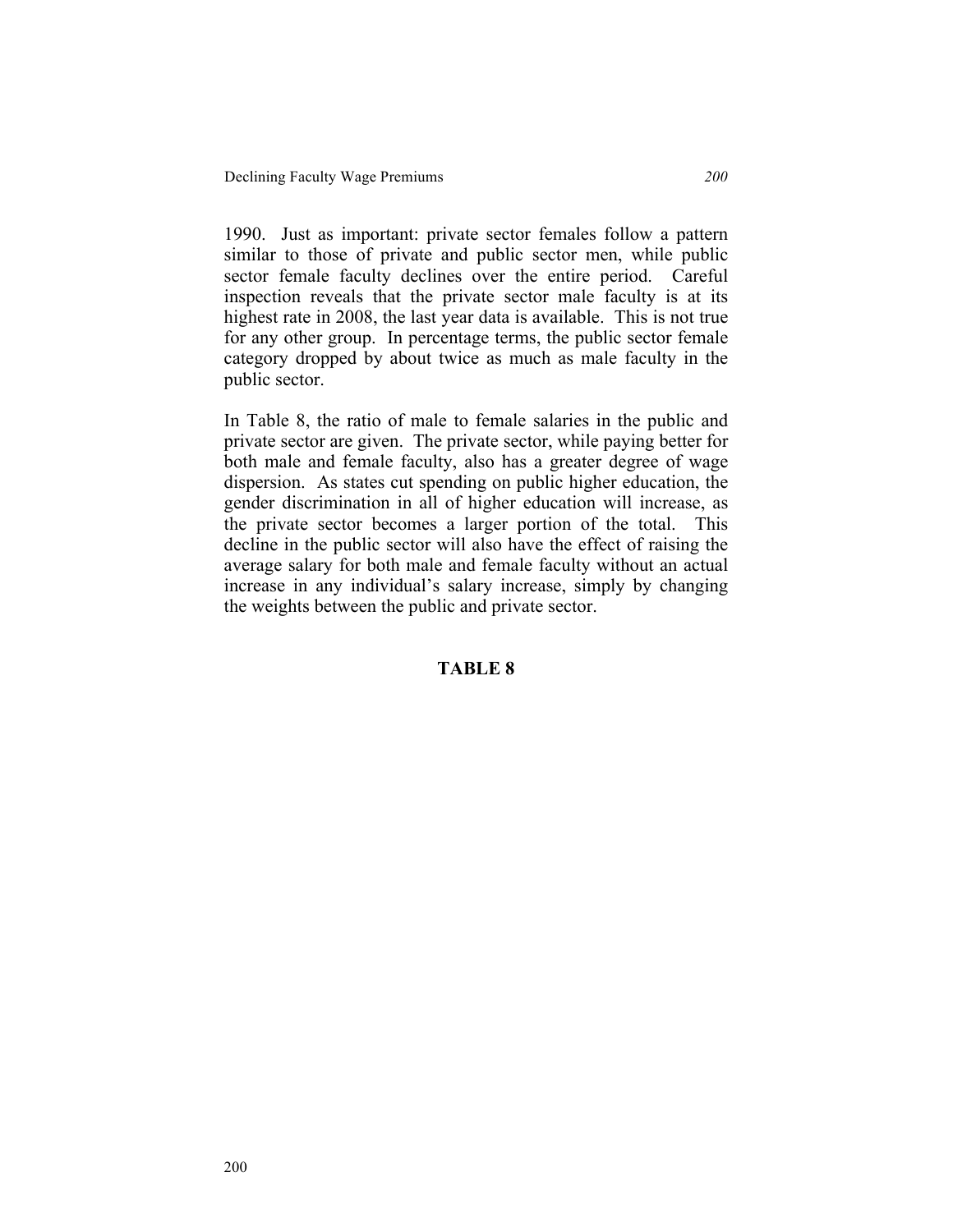1990. Just as important: private sector females follow a pattern similar to those of private and public sector men, while public sector female faculty declines over the entire period. Careful inspection reveals that the private sector male faculty is at its highest rate in 2008, the last year data is available. This is not true for any other group. In percentage terms, the public sector female category dropped by about twice as much as male faculty in the public sector.

In Table 8, the ratio of male to female salaries in the public and private sector are given. The private sector, while paying better for both male and female faculty, also has a greater degree of wage dispersion. As states cut spending on public higher education, the gender discrimination in all of higher education will increase, as the private sector becomes a larger portion of the total. This decline in the public sector will also have the effect of raising the average salary for both male and female faculty without an actual increase in any individual's salary increase, simply by changing the weights between the public and private sector.

# **TABLE 8**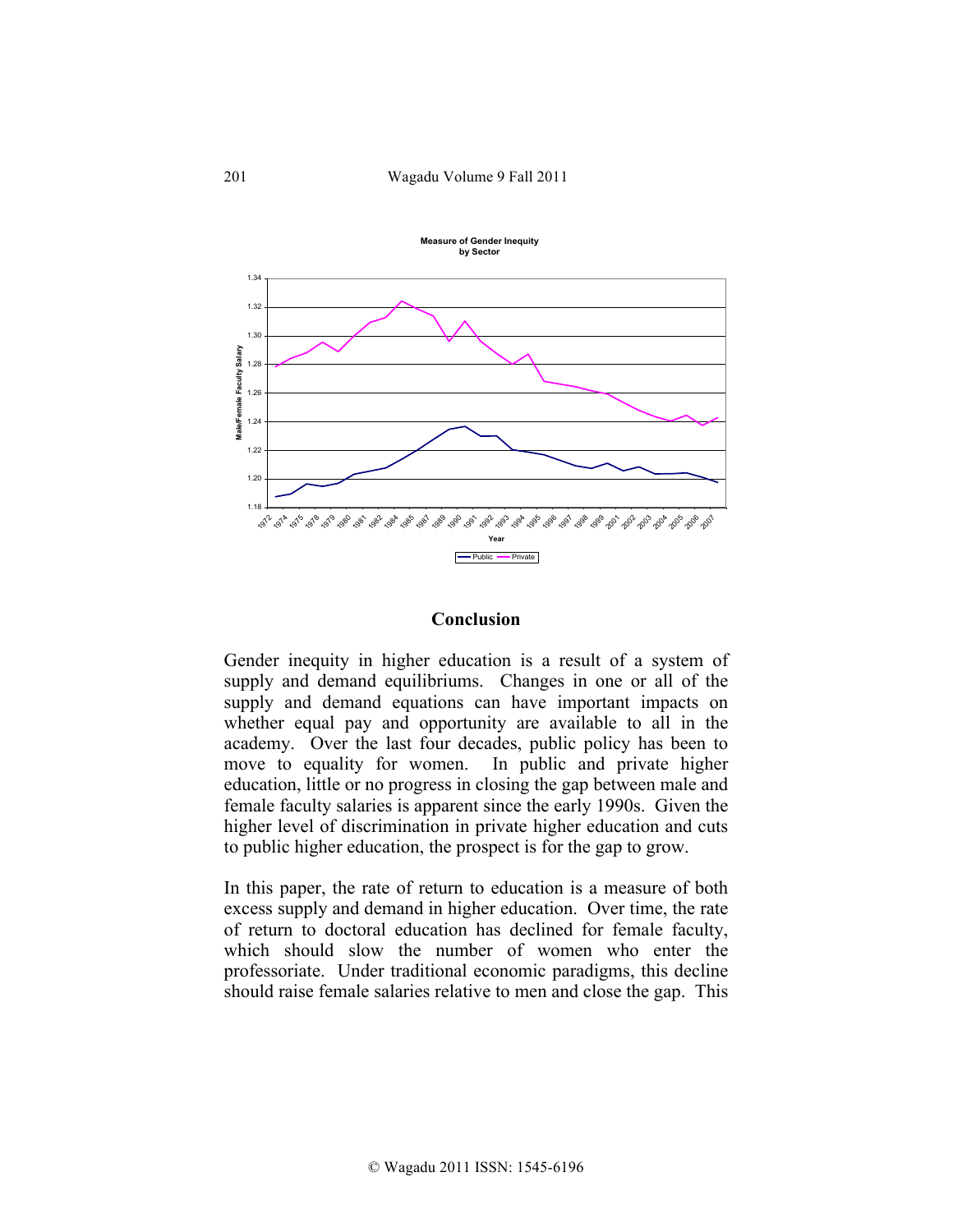

### **Conclusion**

Gender inequity in higher education is a result of a system of supply and demand equilibriums. Changes in one or all of the supply and demand equations can have important impacts on whether equal pay and opportunity are available to all in the academy. Over the last four decades, public policy has been to move to equality for women. In public and private higher education, little or no progress in closing the gap between male and female faculty salaries is apparent since the early 1990s. Given the higher level of discrimination in private higher education and cuts to public higher education, the prospect is for the gap to grow.

In this paper, the rate of return to education is a measure of both excess supply and demand in higher education. Over time, the rate of return to doctoral education has declined for female faculty, which should slow the number of women who enter the professoriate. Under traditional economic paradigms, this decline should raise female salaries relative to men and close the gap. This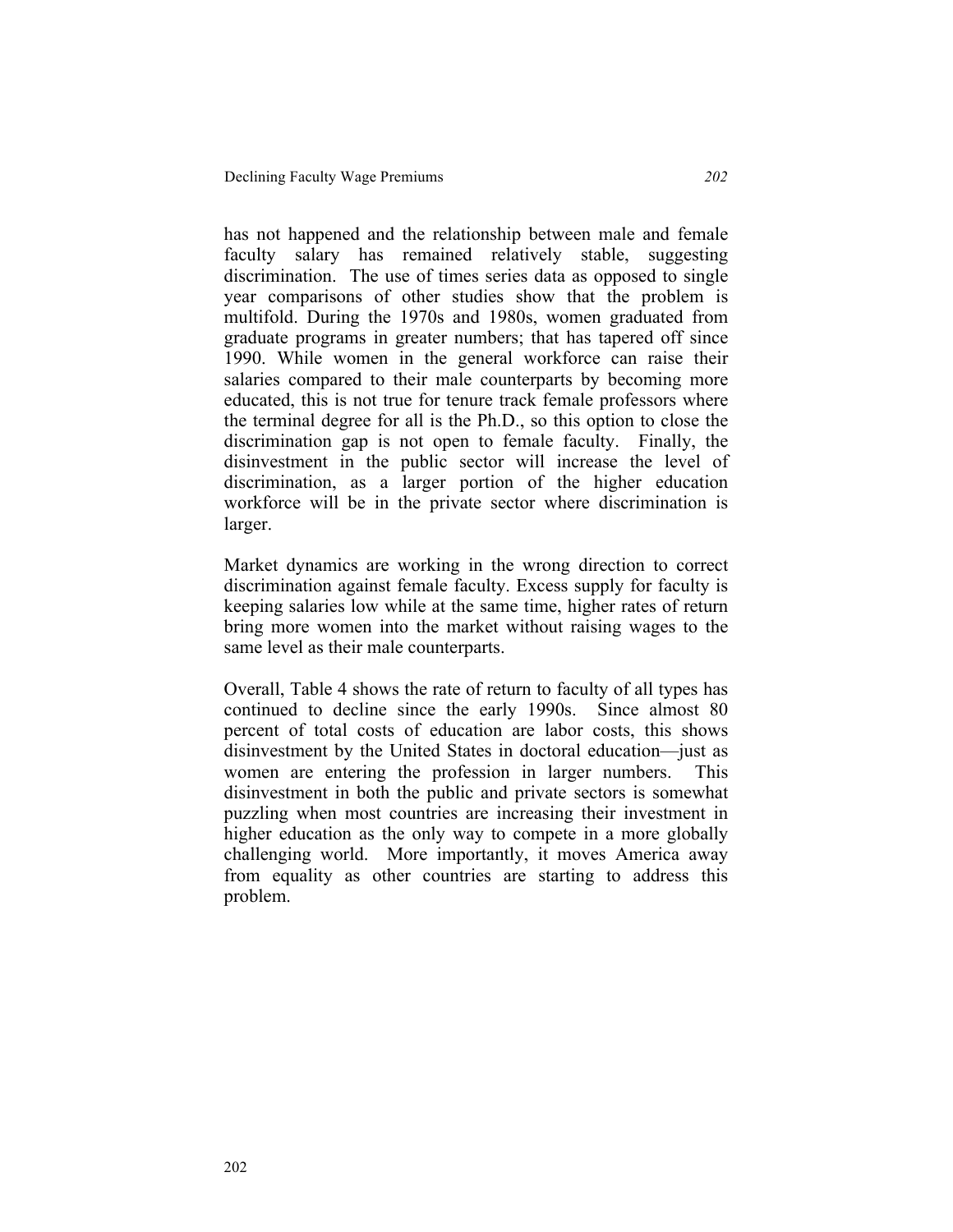has not happened and the relationship between male and female faculty salary has remained relatively stable, suggesting discrimination. The use of times series data as opposed to single year comparisons of other studies show that the problem is multifold. During the 1970s and 1980s, women graduated from graduate programs in greater numbers; that has tapered off since 1990. While women in the general workforce can raise their salaries compared to their male counterparts by becoming more educated, this is not true for tenure track female professors where the terminal degree for all is the Ph.D., so this option to close the discrimination gap is not open to female faculty. Finally, the disinvestment in the public sector will increase the level of discrimination, as a larger portion of the higher education workforce will be in the private sector where discrimination is larger.

Market dynamics are working in the wrong direction to correct discrimination against female faculty. Excess supply for faculty is keeping salaries low while at the same time, higher rates of return bring more women into the market without raising wages to the same level as their male counterparts.

Overall, Table 4 shows the rate of return to faculty of all types has continued to decline since the early 1990s. Since almost 80 percent of total costs of education are labor costs, this shows disinvestment by the United States in doctoral education—just as women are entering the profession in larger numbers. This disinvestment in both the public and private sectors is somewhat puzzling when most countries are increasing their investment in higher education as the only way to compete in a more globally challenging world. More importantly, it moves America away from equality as other countries are starting to address this problem.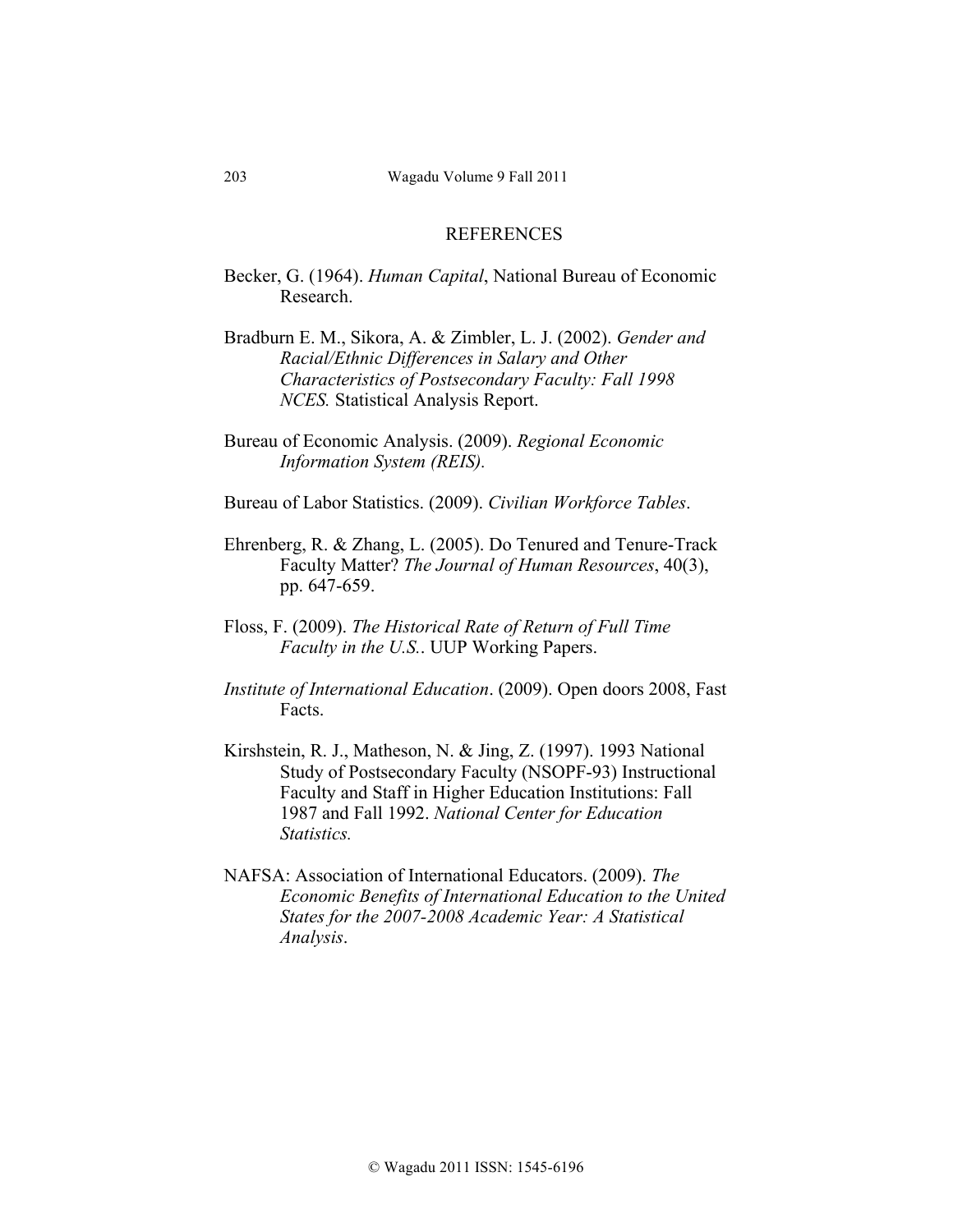### **REFERENCES**

- Becker, G. (1964). *Human Capital*, National Bureau of Economic Research.
- Bradburn E. M., Sikora, A. & Zimbler, L. J. (2002). *Gender and Racial/Ethnic Differences in Salary and Other Characteristics of Postsecondary Faculty: Fall 1998 NCES.* Statistical Analysis Report.
- Bureau of Economic Analysis. (2009). *Regional Economic Information System (REIS).*
- Bureau of Labor Statistics. (2009). *Civilian Workforce Tables*.
- Ehrenberg, R. & Zhang, L. (2005). Do Tenured and Tenure-Track Faculty Matter? *The Journal of Human Resources*, 40(3), pp. 647-659.
- Floss, F. (2009). *The Historical Rate of Return of Full Time Faculty in the U.S.*. UUP Working Papers.
- *Institute of International Education*. (2009). Open doors 2008, Fast Facts.
- Kirshstein, R. J., Matheson, N. & Jing, Z. (1997). 1993 National Study of Postsecondary Faculty (NSOPF-93) Instructional Faculty and Staff in Higher Education Institutions: Fall 1987 and Fall 1992. *National Center for Education Statistics.*
- NAFSA: Association of International Educators. (2009). *The Economic Benefits of International Education to the United States for the 2007-2008 Academic Year: A Statistical Analysis*.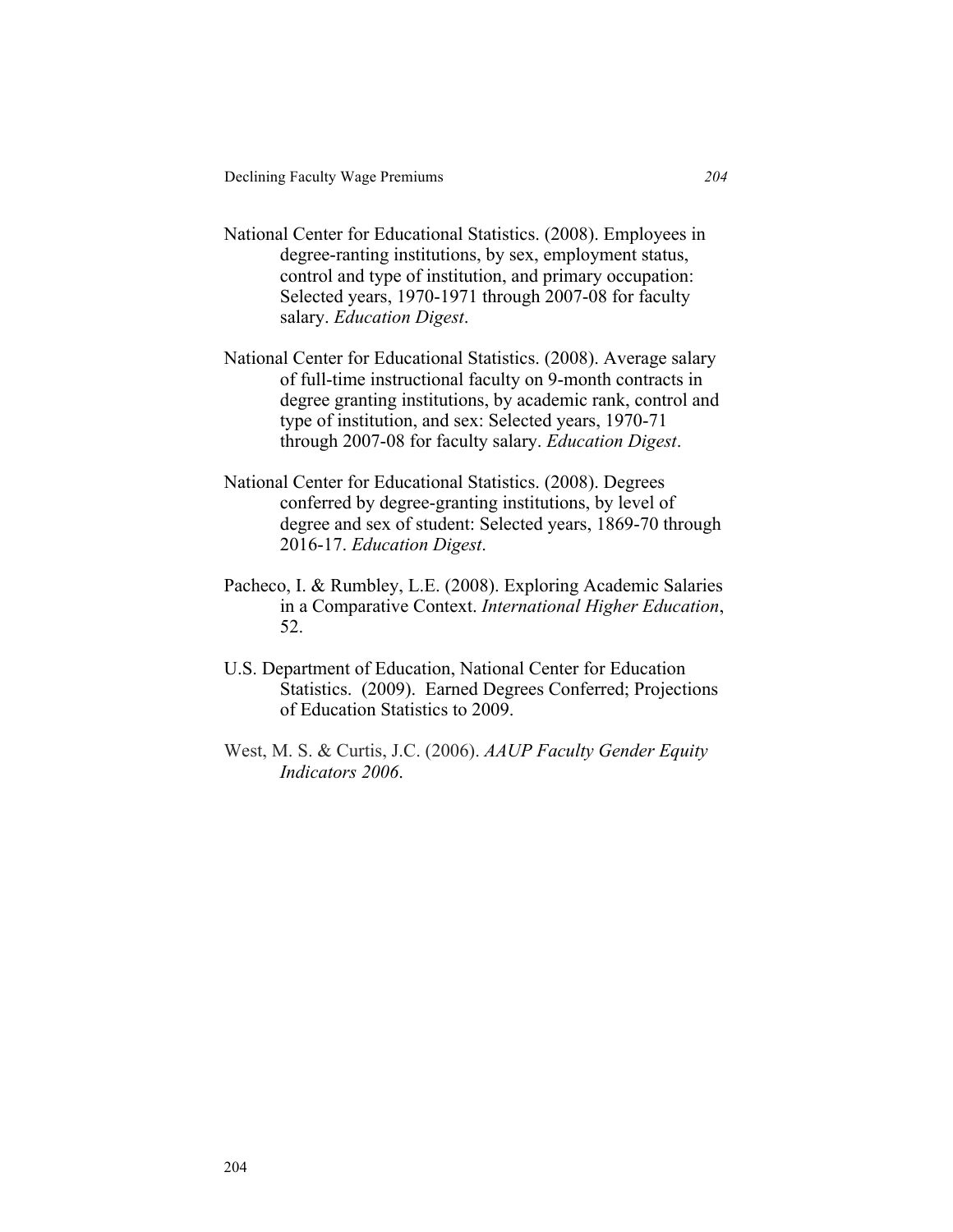- National Center for Educational Statistics. (2008). Employees in degree-ranting institutions, by sex, employment status, control and type of institution, and primary occupation: Selected years, 1970-1971 through 2007-08 for faculty salary. *Education Digest*.
- National Center for Educational Statistics. (2008). Average salary of full-time instructional faculty on 9-month contracts in degree granting institutions, by academic rank, control and type of institution, and sex: Selected years, 1970-71 through 2007-08 for faculty salary. *Education Digest*.
- National Center for Educational Statistics. (2008). Degrees conferred by degree-granting institutions, by level of degree and sex of student: Selected years, 1869-70 through 2016-17. *Education Digest*.
- Pacheco, I. & Rumbley, L.E. (2008). Exploring Academic Salaries in a Comparative Context. *International Higher Education*, 52.
- U.S. Department of Education, National Center for Education Statistics. (2009). Earned Degrees Conferred; Projections of Education Statistics to 2009.
- West, M. S. & Curtis, J.C. (2006). *AAUP Faculty Gender Equity Indicators 2006*.